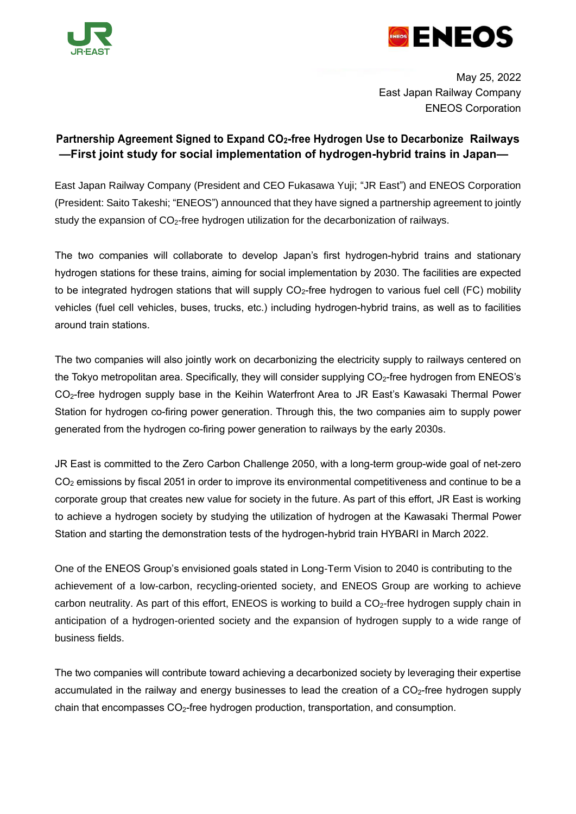



May 25, 2022 East Japan Railway Company ENEOS Corporation

## **Partnership Agreement Signed to Expand CO2-free Hydrogen Use to Decarbonize Railways —First joint study for social implementation of hydrogen-hybrid trains in Japan—**

East Japan Railway Company (President and CEO Fukasawa Yuji; "JR East") and ENEOS Corporation (President: Saito Takeshi; "ENEOS") announced that they have signed a partnership agreement to jointly study the expansion of CO<sub>2</sub>-free hydrogen utilization for the decarbonization of railways.

The two companies will collaborate to develop Japan's first hydrogen-hybrid trains and stationary hydrogen stations for these trains, aiming for social implementation by 2030. The facilities are expected to be integrated hydrogen stations that will supply  $CO<sub>2</sub>$ -free hydrogen to various fuel cell (FC) mobility vehicles (fuel cell vehicles, buses, trucks, etc.) including hydrogen-hybrid trains, as well as to facilities around train stations.

The two companies will also jointly work on decarbonizing the electricity supply to railways centered on the Tokyo metropolitan area. Specifically, they will consider supplying CO<sub>2</sub>-free hydrogen from ENEOS's CO2-free hydrogen supply base in the Keihin Waterfront Area to JR East's Kawasaki Thermal Power Station for hydrogen co-firing power generation. Through this, the two companies aim to supply power generated from the hydrogen co-firing power generation to railways by the early 2030s.

JR East is committed to the Zero Carbon Challenge 2050, with a long-term group-wide goal of net-zero CO<sub>2</sub> emissions by fiscal 2051 in order to improve its environmental competitiveness and continue to be a corporate group that creates new value for society in the future. As part of this effort, JR East is working to achieve a hydrogen society by studying the utilization of hydrogen at the Kawasaki Thermal Power Station and starting the demonstration tests of the hydrogen-hybrid train HYBARI in March 2022.

One of the ENEOS Group's envisioned goals stated in Long-Term Vision to 2040 is contributing to the achievement of a low-carbon, recycling-oriented society, and ENEOS Group are working to achieve carbon neutrality. As part of this effort, ENEOS is working to build a  $CO<sub>2</sub>$ -free hydrogen supply chain in anticipation of a hydrogen-oriented society and the expansion of hydrogen supply to a wide range of business fields.

The two companies will contribute toward achieving a decarbonized society by leveraging their expertise accumulated in the railway and energy businesses to lead the creation of a  $CO<sub>2</sub>$ -free hydrogen supply chain that encompasses  $CO<sub>2</sub>$ -free hydrogen production, transportation, and consumption.